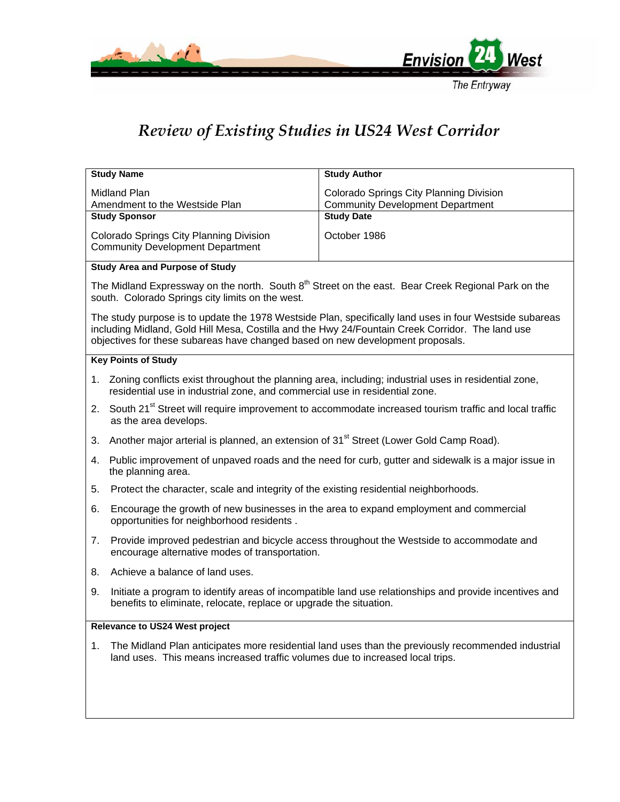

## The Entryway

## *Review of Existing Studies in US24 West Corridor*

| <b>Study Name</b>                                                                                                                                                                                                                                                                             | <b>Study Author</b>                                          |  |  |  |
|-----------------------------------------------------------------------------------------------------------------------------------------------------------------------------------------------------------------------------------------------------------------------------------------------|--------------------------------------------------------------|--|--|--|
| Midland Plan                                                                                                                                                                                                                                                                                  | Colorado Springs City Planning Division                      |  |  |  |
| Amendment to the Westside Plan<br><b>Study Sponsor</b>                                                                                                                                                                                                                                        | <b>Community Development Department</b><br><b>Study Date</b> |  |  |  |
|                                                                                                                                                                                                                                                                                               |                                                              |  |  |  |
| Colorado Springs City Planning Division<br><b>Community Development Department</b>                                                                                                                                                                                                            | October 1986                                                 |  |  |  |
| <b>Study Area and Purpose of Study</b>                                                                                                                                                                                                                                                        |                                                              |  |  |  |
| The Midland Expressway on the north. South 8 <sup>th</sup> Street on the east. Bear Creek Regional Park on the<br>south. Colorado Springs city limits on the west.                                                                                                                            |                                                              |  |  |  |
| The study purpose is to update the 1978 Westside Plan, specifically land uses in four Westside subareas<br>including Midland, Gold Hill Mesa, Costilla and the Hwy 24/Fountain Creek Corridor. The land use<br>objectives for these subareas have changed based on new development proposals. |                                                              |  |  |  |
| <b>Key Points of Study</b>                                                                                                                                                                                                                                                                    |                                                              |  |  |  |
| 1. Zoning conflicts exist throughout the planning area, including; industrial uses in residential zone,<br>residential use in industrial zone, and commercial use in residential zone.                                                                                                        |                                                              |  |  |  |
| South 21 <sup>st</sup> Street will require improvement to accommodate increased tourism traffic and local traffic<br>2.<br>as the area develops.                                                                                                                                              |                                                              |  |  |  |
| Another major arterial is planned, an extension of 31 <sup>st</sup> Street (Lower Gold Camp Road).<br>3.                                                                                                                                                                                      |                                                              |  |  |  |
| Public improvement of unpaved roads and the need for curb, gutter and sidewalk is a major issue in<br>4.<br>the planning area.                                                                                                                                                                |                                                              |  |  |  |
| Protect the character, scale and integrity of the existing residential neighborhoods.<br>5.                                                                                                                                                                                                   |                                                              |  |  |  |
| Encourage the growth of new businesses in the area to expand employment and commercial<br>6.<br>opportunities for neighborhood residents.                                                                                                                                                     |                                                              |  |  |  |
| Provide improved pedestrian and bicycle access throughout the Westside to accommodate and<br>7.<br>encourage alternative modes of transportation.                                                                                                                                             |                                                              |  |  |  |
| Achieve a balance of land uses.<br>8.                                                                                                                                                                                                                                                         |                                                              |  |  |  |
| Initiate a program to identify areas of incompatible land use relationships and provide incentives and<br>9.<br>benefits to eliminate, relocate, replace or upgrade the situation.                                                                                                            |                                                              |  |  |  |
| <b>Relevance to US24 West project</b>                                                                                                                                                                                                                                                         |                                                              |  |  |  |
| The Midland Plan anticipates more residential land uses than the previously recommended industrial<br>1.<br>land uses. This means increased traffic volumes due to increased local trips.                                                                                                     |                                                              |  |  |  |
|                                                                                                                                                                                                                                                                                               |                                                              |  |  |  |
|                                                                                                                                                                                                                                                                                               |                                                              |  |  |  |